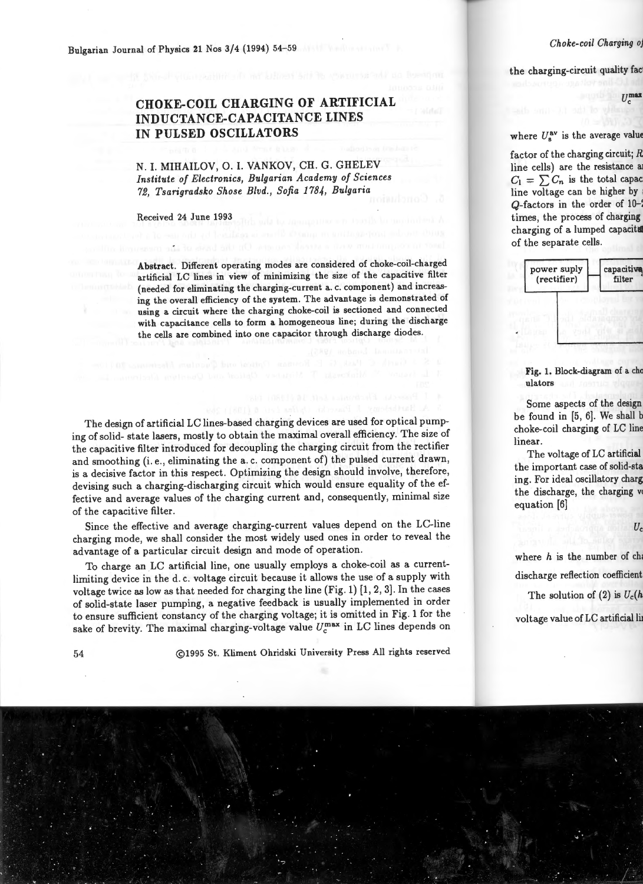## **CHOKE-COIL CHARGING OF ARTIFICIAL INDUCTANCE-CAPACITANCE LINES IN PULSED OSCILLATORS**

N. I. MIHAILOV, 0. I. VANKOV, CH. G. GHELEV *Institute of Electronics, Bulgarian Academy of Sciences 72, Tsarigradsko Shose Blvd., Sofia 1784, Bulgaria* 

Received 24 June 1993

Abstract. Different operating modes are considered of choke-coil-charged artificial LC lines in view of minimizing the size of the capacitive filter (needed for eliminating the charging-current a. c. component) and increasing the overall efficiency of the system. The advantage is demonstrated of using a circuit where the charging choke-coil is sectioned and connected with capacitance cells to form a homogeneous line; during the discharge the cells are combined into one capacitor through discharge diodes.

The design of artificial LC lines-based charging devices are used for optical pumping of solid- state lasers, mostly to obtain the maximal overall efficiency. The size of the capacitive filter introduced for decoupling the charging circuit from the rectifier and smoothing (i. e., eliminating the a. c. component of) the pulsed current drawn, is a decisive factor in this respect. Optimizing the design should involve, therefore, devising such a charging-discharging circuit which would ensure equality of the effective and average values of the charging current and, consequently, minimal size of the capacitive filter.

Since the effective and average charging-current values depend on the LC-line charging mode, we shall consider the most widely used ones in order to reveal the advantage of a particular circuit design and mode of operation.

To charge an LC artificial line, one usually employs a choke-coil as a currentlimiting device in the d. c. voltage circuit because it allows the use of a supply with voltage twice as low as that needed for charging the line (Fig. 1)  $[1, 2, 3]$ . In the cases of solid-state laser pumping, a negative feedback is usually implemented in order to ensure sufficient constancy of the charging voltage; it is omitted in Fig. 1 for the sake of brevity. The maximal charging-voltage value  $U_c^{\text{max}}$  in LC lines depends on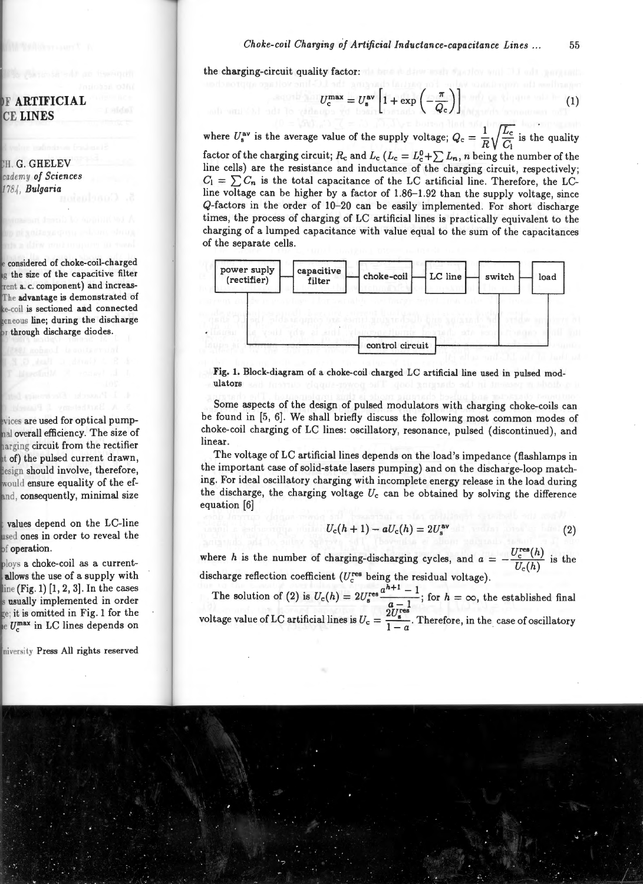the charging-circuit quality factor:

$$
U_c^{\max} = U_s^{\text{av}} \left[ 1 + \exp\left( -\frac{\pi}{Q_c} \right) \right] \tag{1}
$$

where  $U_s^{\text{av}}$  is the average value of the supply voltage;  $Q_c = \frac{1}{R} \sqrt{\frac{L_c}{C_1}}$  is the quality factor of the charging circuit;  $R_c$  and  $L_c$  ( $L_c = L_c^0 + \sum L_n$ , *n* being the number of the line cells) are the resistance and inductance of the charging circuit, respectively;  $C_1 = \sum C_n$  is the total capacitance of the LC artificial line. Therefore, the LCline voltage can be higher by a factor of 1.86-1.92 than the supply voltage, since Q-factors in the order of 10-20 can be easily implemented. For short discharge times, the process of charging of LC artificial lines is practically equivalent to the charging of a lumped capacitance with value equal to the sum of the capacitances of the separate cells.



Fig. 1. Block-diagram of a choke-coil charged LC artificial line used in pulsed modulators

Some aspects of the design of pulsed modulators with charging choke-coils can be found in (5, 6]. We shall briefly discuss the following most common modes of choke-coil charging of LC lines: oscillatory, resonance, pulsed (discontinued), and linear.

The voltage of LC artificial lines depends on the load's impedance (flashlamps in the important case of solid-state lasers pumping) and on the discharge-loop matching. For ideal oscillatory charging with incomplete energy release in the load during the discharge, the charging voltage  $U_c$  can be obtained by solving the difference equation [6]

$$
U_{\rm c}(h+1)-aU_{\rm c}(h)=2U_{\rm s}^{\rm av} \qquad (2)
$$

where *h* is the number of charging-discharging cycles, and  $a = -\frac{U_c^{\text{res}}(h)}{U_c(h)}$  is the discharge reflection coefficient ( $U_c^{\text{res}}$  being the residual voltage).

The solution of (2) is  $U_c(h) = 2U_s^{\text{res}} \frac{a^{h+1} - 1}{a - 1}$ ; for  $h = \infty$ , the established final voltage value of LC artificial lines is  $U_c = \frac{2U_s^{\text{res}}}{1-a}$ . Therefore, in the case of oscillatory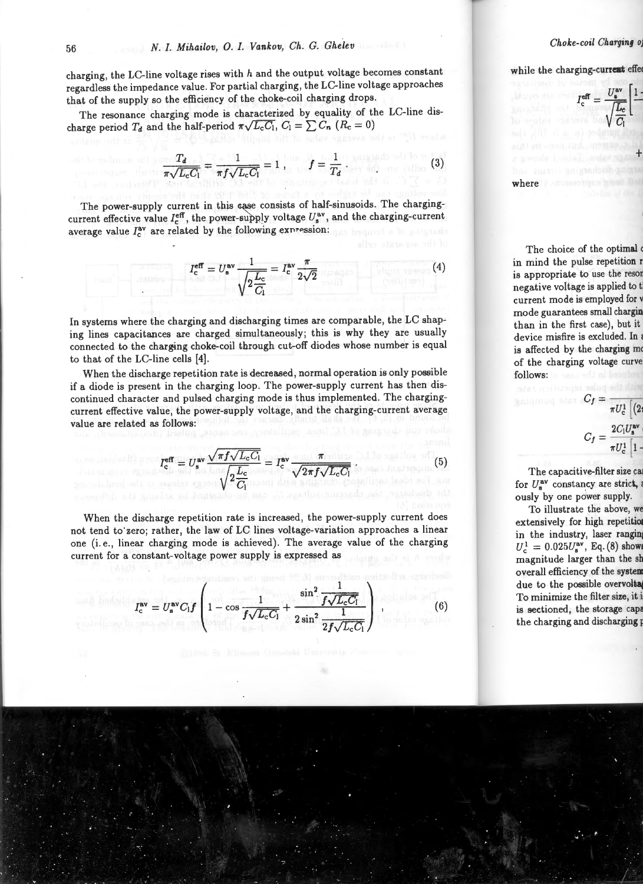charging, the LC-line voltage rises with  $h$  and the output voltage becomes constant regardless the impedance value. For partial charging, the LC-line voltage approaches that of the supply so the efficiency of the choke-coil charging drops.

The resonance charging mode is characterized by equality of the LC-line discharge period  $T_d$  and the half-period  $\pi\sqrt{L_c C_1}$ ,  $C_1 = \sum C_n$  ( $R_c = 0$ )

$$
\frac{T_d}{\pi\sqrt{L_cC_1}}=\frac{1}{\pi f\sqrt{L_cC_1}}=1\,,\qquad f=\frac{1}{T_d}\,.
$$
 (3)

The power-supply current in this case consists of half-sinusoids. The chargingcurrent effective value  $I_c^{\text{eff}}$ , the power-supply voltage  $U_s^{\text{av}}$ , and the charging-current average value  $I_c^{av}$  are related by the following expression:

$$
I_{\rm c}^{\rm eff} = U_{\rm s}^{\rm av} \frac{1}{\sqrt{2\frac{L_{\rm c}}{C_{\rm l}}}} = I_{\rm c}^{\rm av} \frac{\pi}{2\sqrt{2}} \tag{4}
$$

In systems where the charging and discharging times are comparable, the LC shaping lines capacitances are charged simultaneously; this is why they are usually connected to the charging choke-coil through cut-off diodes whose number is equal to that of the LC-line cells [4].

When the discharge repetition rate is decreased, normal operation is only possible if a diode is present in the charging loop. The power-supply current has then discontinued character and pulsed charging mode is thus implemented. The chargingcurrent effective value, the power-supply voltage, and the charging-current average value are related as follows:

$$
I_{\rm c}^{\rm eff} = U_{\rm s}^{\rm av} \frac{\sqrt{\pi f \sqrt{L_{\rm c} C_1}}}{\sqrt{2 \frac{L_{\rm c}}{C_1}}} = I_{\rm c}^{\rm av} \frac{\pi}{\sqrt{2 \pi f \sqrt{L_{\rm c} C_1}}} \,. \tag{5}
$$

When the discharge repetition rate is increased, the power-supply current does not tend to· zero; rather, the law of LC lines voltage-variation approaches a linear one (i.e., linear charging mode is achieved). The average value of the charging current for a constant-voltage power supply is expressed as

$$
I_{\rm c}^{\rm av} = U_{\rm s}^{\rm av} C_{\rm l} f \left( 1 - \cos \frac{1}{f \sqrt{L_{\rm c} C_{\rm l}}} + \frac{\sin^2 \frac{1}{f \sqrt{L_{\rm c} C_{\rm l}}}}{2 \sin^2 \frac{1}{2f \sqrt{L_{\rm c} C_{\rm l}}}} \right) ,
$$

(6)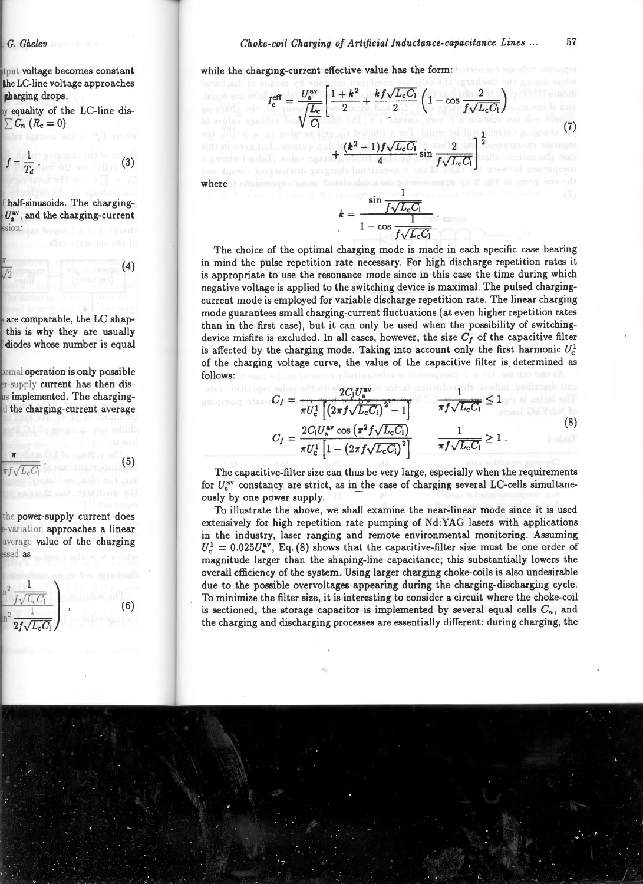while the charging-current effective value has the form: holds and the forms of the state of the state of the state of the state of the state of the state of the state of the state of the state of the state of the state of

$$
I_{\rm c}^{\rm eff} = \frac{U_{\rm a}^{\rm av}}{\sqrt{\frac{L_{\rm c}}{C_{\rm l}}}} \left(1 + k^2 + \frac{k f \sqrt{L_{\rm c} C_{\rm l}}}{2} \left(1 - \cos \frac{2}{f \sqrt{L_{\rm c} C_{\rm l}}}\right)\right)
$$
\nand (1) 
$$
\frac{1}{\sqrt{\frac{L_{\rm c}}{C_{\rm l}}}} + \frac{(k^2 - 1)f \sqrt{L_{\rm c} C_{\rm l}}}{4} \sin \frac{2}{f \sqrt{L_{\rm c} C_{\rm l}}}\right)^{\frac{1}{2}}
$$
\nwhere

$$
k = \frac{\sin \frac{1}{f\sqrt{L_cC_1}}}{1 - \cos \frac{1}{f\sqrt{L_cC_1}}}.
$$

The choice of the optimal charging mode is made in each specific case bearing in mind the pulse repetition rate necessary. For high discharge repetition rates it is appropriate to use the resonance mode since in this case the time during which negative voltage is applied to the switching device is maximal. The pulsed chargingcurrent mode is employed for variable discharge repetition rate . The linear charging mode guarantees small charging-current fluctuations (at even higher repetition rates than in the first case), but it can only be used when the possibility of switchingdevice misfire is excluded. In all cases, however, the size  $C_f$  of the capacitive filter is affected by the charging mode. Taking into account only the first harmonic  $U_c^1$ . of the charging voltage curve, the value of the capacitive filter is determined as follows:

$$
C_{f} = \frac{2C_{l}U_{s}^{\text{av}}}{\pi U_{c}^{1} \left[ (2\pi f \sqrt{L_{c}C_{l}})^{2} - 1 \right]} \qquad \frac{1}{\pi f \sqrt{L_{c}C_{l}}} \le 1
$$
\n
$$
C_{f} = \frac{2C_{l}U_{s}^{\text{av}} \cos \left( \pi^{2} f \sqrt{L_{c}C_{l}} \right)}{\pi U_{c}^{1} \left[ 1 - \left( 2\pi f \sqrt{L_{c}C_{l}} \right)^{2} \right]} \qquad \frac{1}{\pi f \sqrt{L_{c}C_{l}}} \ge 1.
$$
\n(8)

The capacitive-filter size can thus be very large, especially when the requirements for  $U_{\alpha}^{\text{av}}$  constancy are strict, as in the case of charging several LC-cells simultaneously by one power supply.

To illustrate the above, we shall examine the near-linear mode since it is used extensively for high repetition rate pumping of Nd:YAG lasers with applications in the industry, laser ranging and remote environmental monitoring. Assuming  $U_c^1 = 0.025U_s^{av}$ , Eq. (8) shows that the capacitive-filter size must be one order of magnitude larger than the shaping-line capacitance; this substantially lowers the overall efficiency of the system. Using larger charging choke-coils is also undesirable due to the possible overvoltages appearing during the charging-discharging cycle. To minimize the filter size, it is interesting to consider a circuit where the choke-coil is sectioned, the storage capacitor is implemented by several equal cells  $C_n$ , and the charging and discharging processes are essentially different: during charging, the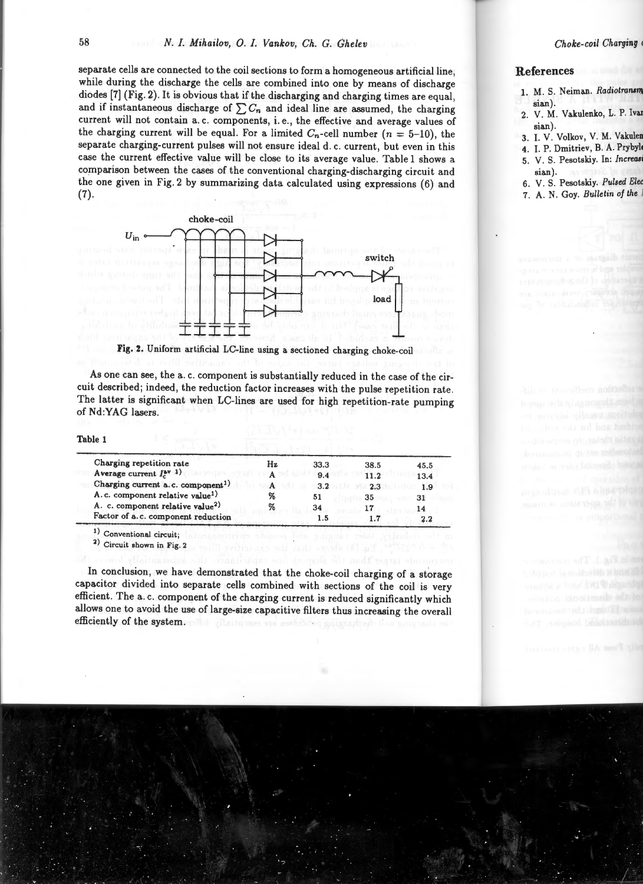separate cells are connected to the coil sections to form a homogeneous artificial line, while during the discharge the cells are combined into one by means of discharge diodes (7] (Fig. 2). It is obvious that if the discharging and charging times are equal, and if instantaneous discharge of  $\sum C_n$  and ideal line are assumed, the charging current will not contain a. c. components, i. e., the effective and average values of the charging current will be equal. For a limited  $C_n$ -cell number ( $n = 5-10$ ), the separate charging-current pulses will not ensure ideal d. c. current, but even in this case the current effective value will be close to its average value. Table 1 shows a comparison between the cases of the conventional charging-discharging circuit and the one given in Fig. 2 by summarizing data calculated using expressions (6) and (7).



Fig. 2. Uniform artificial LC-line using a sectioned charging choke-coil

As one can see, the a. c. component is substantially reduced in the case of the circuit described; indeed, the reduction factor increases with the pulse repetition rate . The latter is significant when LC-lines are used for high repetition-rate pumping of Nd:YAG lasers.

Table 1

| Charging repetition rate                      | Hz | 33.3 | 38.5 | 45.5 |
|-----------------------------------------------|----|------|------|------|
| Average current $I_r^{av}$ 1)                 |    | 9.4  | 11.2 | 13.4 |
| Charging current a.c. component <sup>1)</sup> | A  | 3.2  | 2.3  | 1.9  |
| A.c. component relative value <sup>1)</sup>   | %  | 51   | 35   | 31   |
| A. c. component relative value <sup>2)</sup>  | %  | 34   | 17   | 14   |
| Factor of a.c. component reduction            |    | 1.5  |      | 2.2  |

1) Conventional circuit;

2) Circuit shown in Fig. 2

In conclusion, we have demonstrated that the choke-coil charging of a storage capacitor divided into separate cells combined with sections of the coil is very efficient. The a. c. component of the charging current is reduced significantly which allows one to avoid the use of large-size capacitive filters thus increasing the overall efficiently of the system.